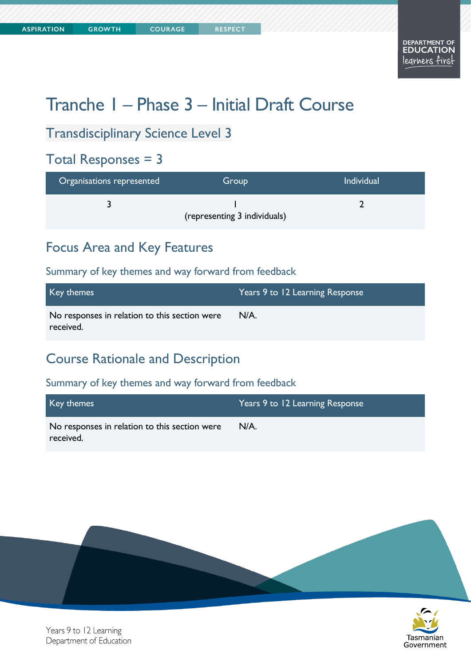**COURAGE** 

# Tranche 1 – Phase 3 – Initial Draft Course

# Transdisciplinary Science Level 3

# Total Responses = 3

| Organisations represented | Group                        | <b>Individual</b> |
|---------------------------|------------------------------|-------------------|
|                           | (representing 3 individuals) |                   |

# Focus Area and Key Features

### Summary of key themes and way forward from feedback

| Key themes                                                 | Years 9 to 12 Learning Response |
|------------------------------------------------------------|---------------------------------|
| No responses in relation to this section were<br>received. | $N/A$ .                         |

# Course Rationale and Description

| Key themes                                                 | Years 9 to 12 Learning Response |
|------------------------------------------------------------|---------------------------------|
| No responses in relation to this section were<br>received. | $N/A$ .                         |



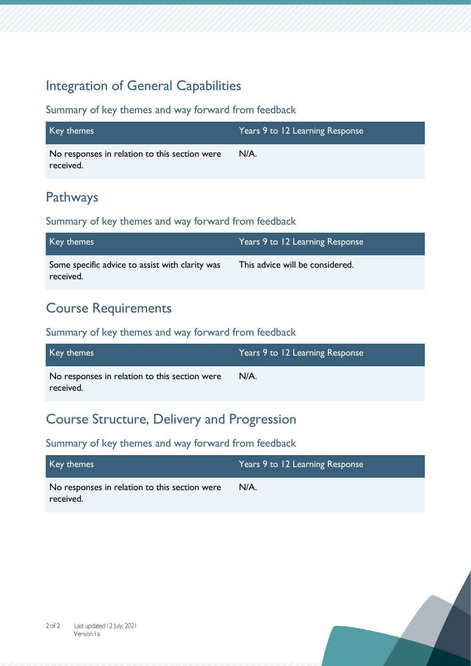# Integration of General Capabilities

### Summary of key themes and way forward from feedback

| Key themes                                                 | Years 9 to 12 Learning Response |
|------------------------------------------------------------|---------------------------------|
| No responses in relation to this section were<br>received. | $N/A$ .                         |

# Pathways

### Summary of key themes and way forward from feedback

| Key themes                                                   | Years 9 to 12 Learning Response |
|--------------------------------------------------------------|---------------------------------|
| Some specific advice to assist with clarity was<br>received. | This advice will be considered. |

### Course Requirements

### Summary of key themes and way forward from feedback

| Key themes                                                 | Years 9 to 12 Learning Response |
|------------------------------------------------------------|---------------------------------|
| No responses in relation to this section were<br>received. | $N/A$ .                         |

### Course Structure, Delivery and Progression

| Key themes                                    | Years 9 to 12 Learning Response |
|-----------------------------------------------|---------------------------------|
| No responses in relation to this section were | N/A.                            |
| received.                                     |                                 |



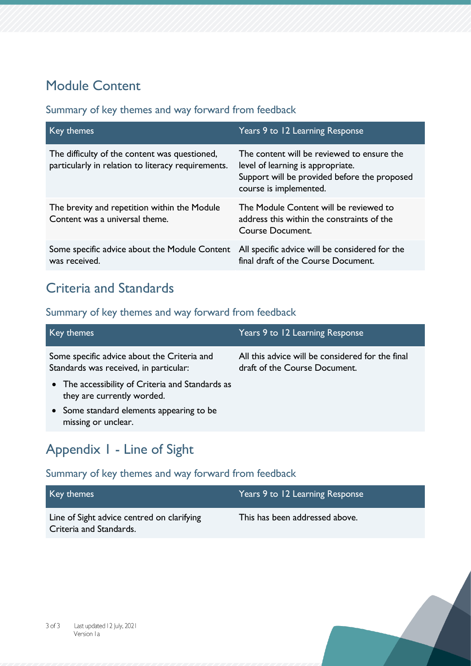# Module Content

### Summary of key themes and way forward from feedback

| Key themes                                                                                          | Years 9 to 12 Learning Response                                                                                                                           |
|-----------------------------------------------------------------------------------------------------|-----------------------------------------------------------------------------------------------------------------------------------------------------------|
| The difficulty of the content was questioned,<br>particularly in relation to literacy requirements. | The content will be reviewed to ensure the<br>level of learning is appropriate.<br>Support will be provided before the proposed<br>course is implemented. |
| The brevity and repetition within the Module<br>Content was a universal theme.                      | The Module Content will be reviewed to<br>address this within the constraints of the<br>Course Document.                                                  |
| Some specific advice about the Module Content<br>was received.                                      | All specific advice will be considered for the<br>final draft of the Course Document.                                                                     |

# Criteria and Standards

### Summary of key themes and way forward from feedback

| Key themes                                                                            | Years 9 to 12 Learning Response                                                   |
|---------------------------------------------------------------------------------------|-----------------------------------------------------------------------------------|
| Some specific advice about the Criteria and<br>Standards was received, in particular: | All this advice will be considered for the final<br>draft of the Course Document. |
| • The accessibility of Criteria and Standards as<br>they are currently worded.        |                                                                                   |
| • Some standard elements appearing to be<br>missing or unclear.                       |                                                                                   |
|                                                                                       |                                                                                   |

# Appendix 1 - Line of Sight

| Key themes                                                            | Years 9 to 12 Learning Response |
|-----------------------------------------------------------------------|---------------------------------|
| Line of Sight advice centred on clarifying<br>Criteria and Standards. | This has been addressed above.  |